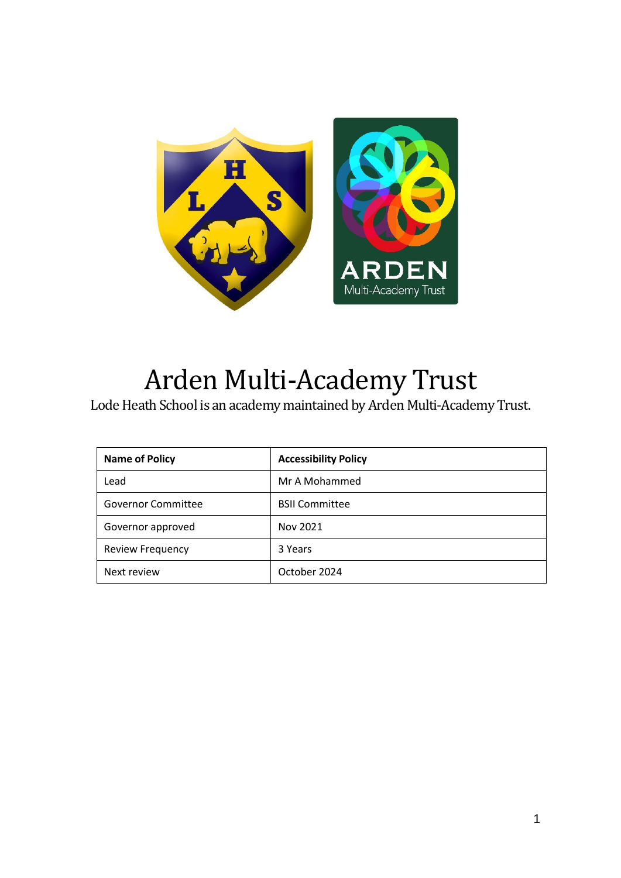

# Arden Multi-Academy Trust

Lode Heath School is an academy maintained by Arden Multi-Academy Trust.

| <b>Name of Policy</b>   | <b>Accessibility Policy</b> |
|-------------------------|-----------------------------|
| Lead                    | Mr A Mohammed               |
| Governor Committee      | <b>BSII Committee</b>       |
| Governor approved       | Nov 2021                    |
| <b>Review Frequency</b> | 3 Years                     |
| Next review             | October 2024                |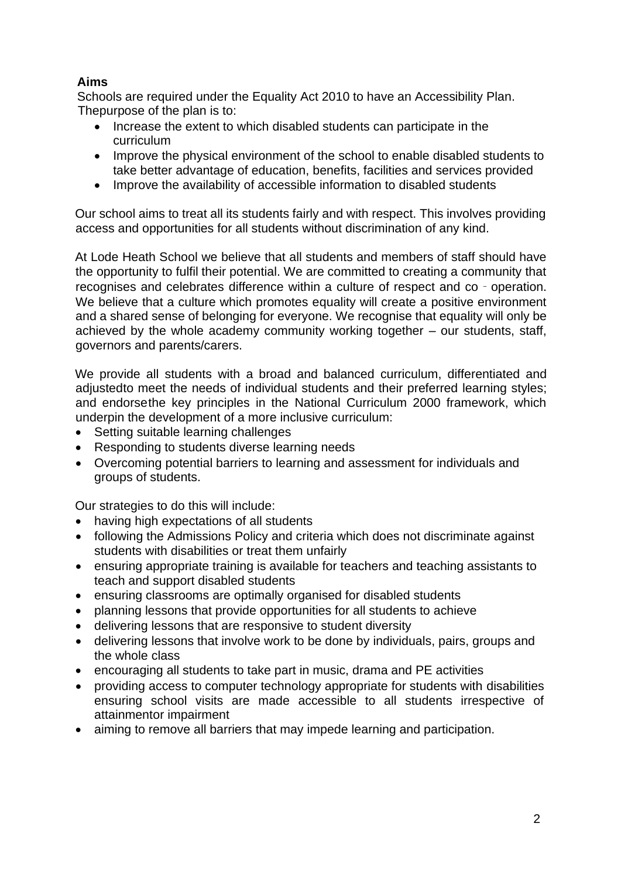# **Aims**

Schools are required under the Equality Act 2010 to have an Accessibility Plan. Thepurpose of the plan is to:

- Increase the extent to which disabled students can participate in the curriculum
- Improve the physical environment of the school to enable disabled students to take better advantage of education, benefits, facilities and services provided
- Improve the availability of accessible information to disabled students

Our school aims to treat all its students fairly and with respect. This involves providing access and opportunities for all students without discrimination of any kind.

At Lode Heath School we believe that all students and members of staff should have the opportunity to fulfil their potential. We are committed to creating a community that recognises and celebrates difference within a culture of respect and co - operation. We believe that a culture which promotes equality will create a positive environment and a shared sense of belonging for everyone. We recognise that equality will only be achieved by the whole academy community working together – our students, staff, governors and parents/carers.

We provide all students with a broad and balanced curriculum, differentiated and adjustedto meet the needs of individual students and their preferred learning styles; and endorsethe key principles in the National Curriculum 2000 framework, which underpin the development of a more inclusive curriculum:

- Setting suitable learning challenges
- Responding to students diverse learning needs
- Overcoming potential barriers to learning and assessment for individuals and groups of students.

Our strategies to do this will include:

- having high expectations of all students
- following the Admissions Policy and criteria which does not discriminate against students with disabilities or treat them unfairly
- ensuring appropriate training is available for teachers and teaching assistants to teach and support disabled students
- ensuring classrooms are optimally organised for disabled students
- planning lessons that provide opportunities for all students to achieve
- delivering lessons that are responsive to student diversity
- delivering lessons that involve work to be done by individuals, pairs, groups and the whole class
- encouraging all students to take part in music, drama and PE activities
- providing access to computer technology appropriate for students with disabilities ensuring school visits are made accessible to all students irrespective of attainmentor impairment
- aiming to remove all barriers that may impede learning and participation.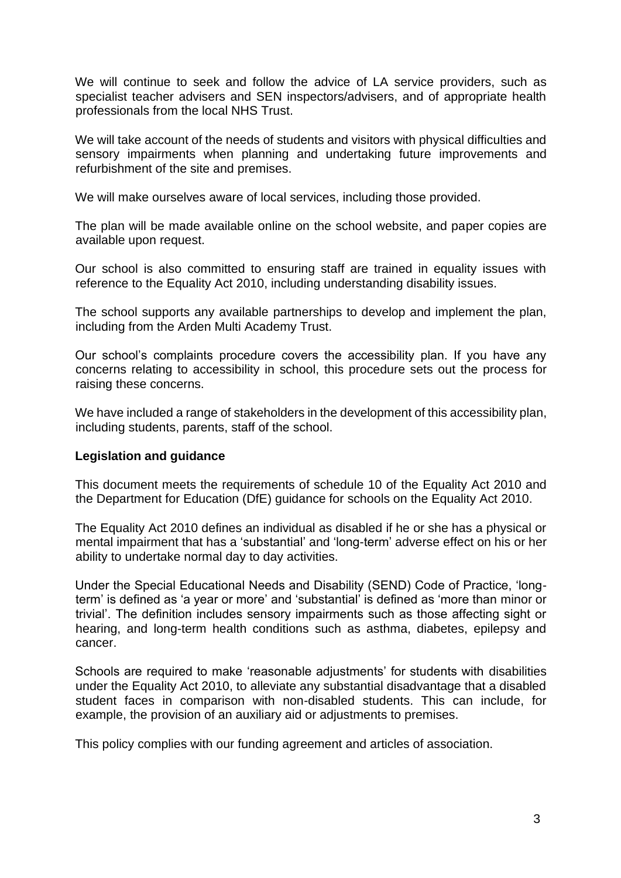We will continue to seek and follow the advice of LA service providers, such as specialist teacher advisers and SEN inspectors/advisers, and of appropriate health professionals from the local NHS Trust.

We will take account of the needs of students and visitors with physical difficulties and sensory impairments when planning and undertaking future improvements and refurbishment of the site and premises.

We will make ourselves aware of local services, including those provided.

The plan will be made available online on the school website, and paper copies are available upon request.

Our school is also committed to ensuring staff are trained in equality issues with reference to the Equality Act 2010, including understanding disability issues.

The school supports any available partnerships to develop and implement the plan, including from the Arden Multi Academy Trust.

Our school's complaints procedure covers the accessibility plan. If you have any concerns relating to accessibility in school, this procedure sets out the process for raising these concerns.

We have included a range of stakeholders in the development of this accessibility plan, including students, parents, staff of the school.

### **Legislation and guidance**

This document meets the requirements of schedule 10 of the Equality Act 2010 and the Department for Education (DfE) guidance for schools on the Equality Act 2010.

The Equality Act 2010 defines an individual as disabled if he or she has a physical or mental impairment that has a 'substantial' and 'long-term' adverse effect on his or her ability to undertake normal day to day activities.

Under the Special Educational Needs and Disability (SEND) Code of Practice, 'longterm' is defined as 'a year or more' and 'substantial' is defined as 'more than minor or trivial'. The definition includes sensory impairments such as those affecting sight or hearing, and long-term health conditions such as asthma, diabetes, epilepsy and cancer.

Schools are required to make 'reasonable adjustments' for students with disabilities under the Equality Act 2010, to alleviate any substantial disadvantage that a disabled student faces in comparison with non-disabled students. This can include, for example, the provision of an auxiliary aid or adjustments to premises.

This policy complies with our funding agreement and articles of association.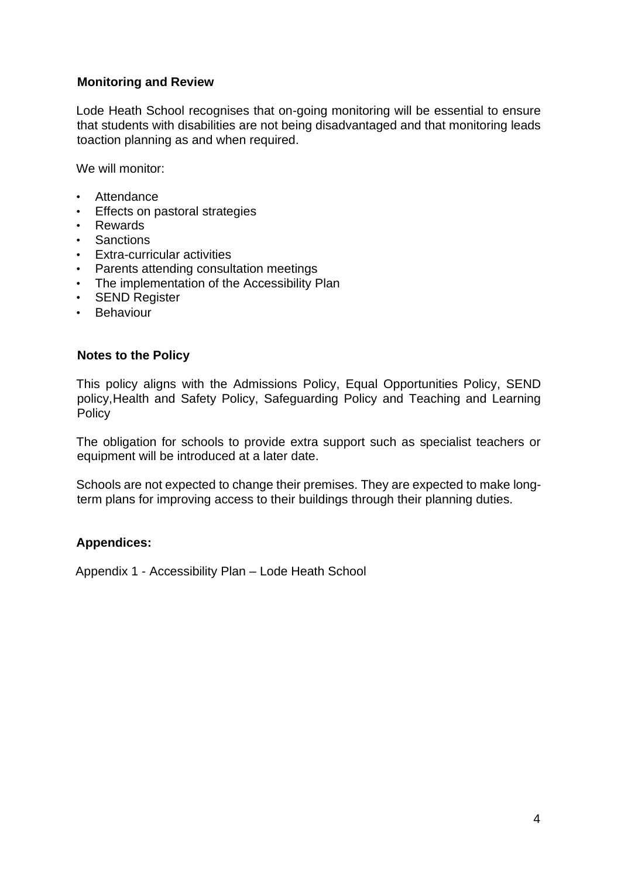# **Monitoring and Review**

Lode Heath School recognises that on-going monitoring will be essential to ensure that students with disabilities are not being disadvantaged and that monitoring leads toaction planning as and when required.

We will monitor:

- Attendance
- Effects on pastoral strategies
- Rewards
- Sanctions
- Extra-curricular activities
- Parents attending consultation meetings
- The implementation of the Accessibility Plan
- SEND Register
- Behaviour

### **Notes to the Policy**

This policy aligns with the Admissions Policy, Equal Opportunities Policy, SEND policy,Health and Safety Policy, Safeguarding Policy and Teaching and Learning **Policy** 

The obligation for schools to provide extra support such as specialist teachers or equipment will be introduced at a later date.

Schools are not expected to change their premises. They are expected to make longterm plans for improving access to their buildings through their planning duties.

### **Appendices:**

Appendix 1 - Accessibility Plan – Lode Heath School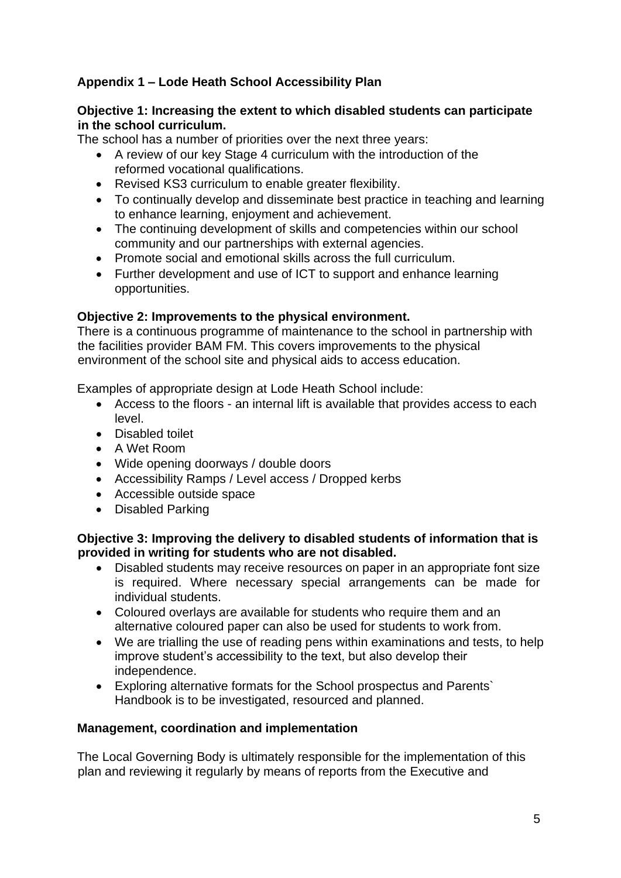# **Appendix 1 – Lode Heath School Accessibility Plan**

# **Objective 1: Increasing the extent to which disabled students can participate in the school curriculum.**

The school has a number of priorities over the next three years:

- A review of our key Stage 4 curriculum with the introduction of the reformed vocational qualifications.
- Revised KS3 curriculum to enable greater flexibility.
- To continually develop and disseminate best practice in teaching and learning to enhance learning, enjoyment and achievement.
- The continuing development of skills and competencies within our school community and our partnerships with external agencies.
- Promote social and emotional skills across the full curriculum.
- Further development and use of ICT to support and enhance learning opportunities.

# **Objective 2: Improvements to the physical environment.**

There is a continuous programme of maintenance to the school in partnership with the facilities provider BAM FM. This covers improvements to the physical environment of the school site and physical aids to access education.

Examples of appropriate design at Lode Heath School include:

- Access to the floors an internal lift is available that provides access to each level.
- Disabled toilet
- A Wet Room
- Wide opening doorways / double doors
- Accessibility Ramps / Level access / Dropped kerbs
- Accessible outside space
- Disabled Parking

# **Objective 3: Improving the delivery to disabled students of information that is provided in writing for students who are not disabled.**

- Disabled students may receive resources on paper in an appropriate font size is required. Where necessary special arrangements can be made for individual students.
- Coloured overlays are available for students who require them and an alternative coloured paper can also be used for students to work from.
- We are trialling the use of reading pens within examinations and tests, to help improve student's accessibility to the text, but also develop their independence.
- Exploring alternative formats for the School prospectus and Parents` Handbook is to be investigated, resourced and planned.

# **Management, coordination and implementation**

The Local Governing Body is ultimately responsible for the implementation of this plan and reviewing it regularly by means of reports from the Executive and